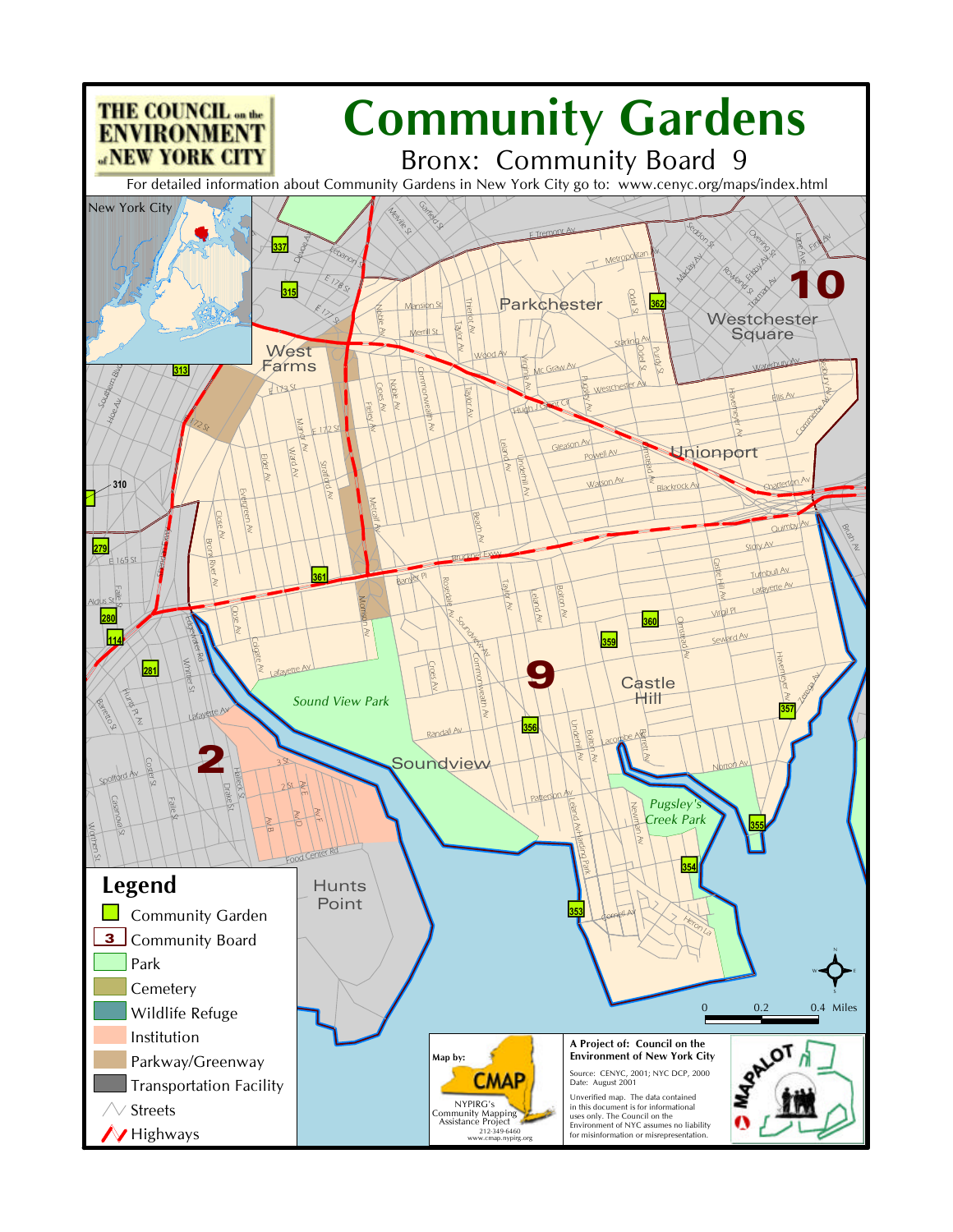